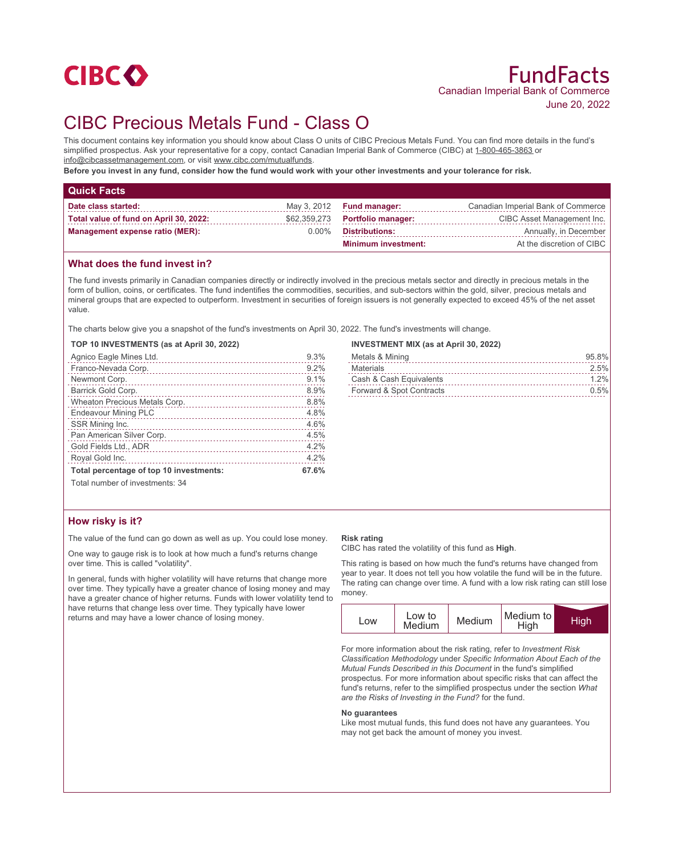

# CIBC Precious Metals Fund - Class O

This document contains key information you should know about Class O units of CIBC Precious Metals Fund. You can find more details in the fund's simplified prospectus. Ask your representative for a copy, contact Canadian Imperial Bank of Commerce (CIBC) at 1-800-465-3863 or info@cibcassetmanagement.com, or visit www.cibc.com/mutualfunds.

**Before you invest in any fund, consider how the fund would work with your other investments and your tolerance for risk.**

| <b>Quick Facts</b>                     |          |                                 |                                    |
|----------------------------------------|----------|---------------------------------|------------------------------------|
| Date class started:                    |          | May $3, 2012$ Fund manager:     | Canadian Imperial Bank of Commerce |
| Total value of fund on April 30, 2022: |          | \$62,359,273 Portfolio manager: | CIBC Asset Management Inc.         |
| Management expense ratio (MER):        | $0.00\%$ | <b>Distributions:</b>           | Annually, in December              |
|                                        |          | <b>Minimum investment:</b>      | At the discretion of CIBC          |

### **What does the fund invest in?**

The fund invests primarily in Canadian companies directly or indirectly involved in the precious metals sector and directly in precious metals in the form of bullion, coins, or certificates. The fund indentifies the commodities, securities, and sub-sectors within the gold, silver, precious metals and mineral groups that are expected to outperform. Investment in securities of foreign issuers is not generally expected to exceed 45% of the net asset value.

The charts below give you a snapshot of the fund's investments on April 30, 2022. The fund's investments will change.

**TOP 10 INVESTMENTS (as at April 30, 2022)**

| Agnico Eagle Mines Ltd.                 | 9.3%  |
|-----------------------------------------|-------|
| Franco-Nevada Corp.                     | 9.2%  |
| Newmont Corp.                           | 9.1%  |
| Barrick Gold Corp.                      | 8.9%  |
| Wheaton Precious Metals Corp.           | 8.8%  |
| <b>Endeavour Mining PLC</b>             | 4.8%  |
| SSR Mining Inc.                         | 4.6%  |
| Pan American Silver Corp.               | 4.5%  |
| Gold Fields Ltd., ADR                   | 4.2%  |
| Royal Gold Inc.                         | 4.2%  |
| Total percentage of top 10 investments: | 67.6% |
| Total number of investments: 34         |       |

# **INVESTMENT MIX (as at April 30, 2022)**

| Metals & Mining          | 95.8% |
|--------------------------|-------|
| Materials                | 2.5%  |
| Cash & Cash Equivalents  | 1.2%  |
| Forward & Spot Contracts | 0.5%  |
|                          |       |

# **How risky is it?**

The value of the fund can go down as well as up. You could lose money.

One way to gauge risk is to look at how much a fund's returns change over time. This is called "volatility".

In general, funds with higher volatility will have returns that change more over time. They typically have a greater chance of losing money and may have a greater chance of higher returns. Funds with lower volatility tend to have returns that change less over time. They typically have lower returns and may have a lower chance of losing money.

#### **Risk rating**

CIBC has rated the volatility of this fund as **High**.

This rating is based on how much the fund's returns have changed from year to year. It does not tell you how volatile the fund will be in the future. The rating can change over time. A fund with a low risk rating can still lose money.

| Low to<br>LOW<br>Medium | Medium | Medium to<br>High | <b>High</b> |
|-------------------------|--------|-------------------|-------------|
|-------------------------|--------|-------------------|-------------|

For more information about the risk rating, refer to *Investment Risk Classification Methodology* under *Specific Information About Each of the Mutual Funds Described in this Document* in the fund's simplified prospectus. For more information about specific risks that can affect the fund's returns, refer to the simplified prospectus under the section *What are the Risks of Investing in the Fund?* for the fund.

#### **No guarantees**

Like most mutual funds, this fund does not have any guarantees. You may not get back the amount of money you invest.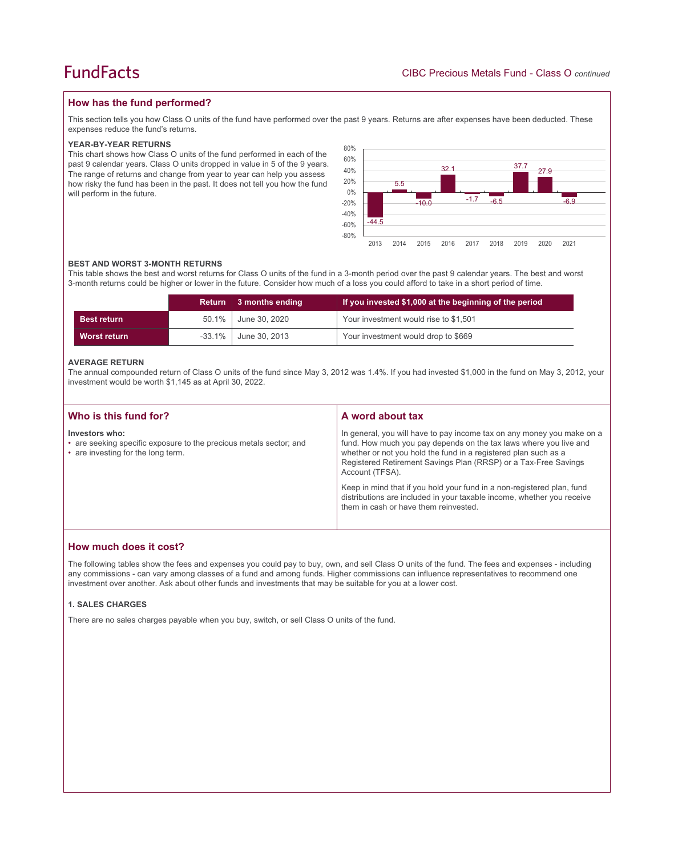# FundFacts

# **How has the fund performed?**

This section tells you how Class O units of the fund have performed over the past 9 years. Returns are after expenses have been deducted. These expenses reduce the fund's returns.

#### **YEAR-BY-YEAR RETURNS**

This chart shows how Class O units of the fund performed in each of the past 9 calendar years. Class O units dropped in value in 5 of the 9 years. The range of returns and change from year to year can help you assess how risky the fund has been in the past. It does not tell you how the fund will perform in the future.



#### **BEST AND WORST 3-MONTH RETURNS**

This table shows the best and worst returns for Class O units of the fund in a 3-month period over the past 9 calendar years. The best and worst 3-month returns could be higher or lower in the future. Consider how much of a loss you could afford to take in a short period of time.

|                    | <b>Return</b> | 3 months ending | If you invested \$1,000 at the beginning of the period |
|--------------------|---------------|-----------------|--------------------------------------------------------|
| <b>Best return</b> | $50.1\%$      | June 30, 2020   | Your investment would rise to \$1,501                  |
| Worst return       | -33.1%        | June 30, 2013   | Your investment would drop to \$669                    |

#### **AVERAGE RETURN**

The annual compounded return of Class O units of the fund since May 3, 2012 was 1.4%. If you had invested \$1,000 in the fund on May 3, 2012, your investment would be worth \$1,145 as at April 30, 2022.

| Who is this fund for?                                                                                                      | A word about tax                                                                                                                                                                                                                                                                                     |
|----------------------------------------------------------------------------------------------------------------------------|------------------------------------------------------------------------------------------------------------------------------------------------------------------------------------------------------------------------------------------------------------------------------------------------------|
| Investors who:<br>• are seeking specific exposure to the precious metals sector; and<br>• are investing for the long term. | In general, you will have to pay income tax on any money you make on a<br>fund. How much you pay depends on the tax laws where you live and<br>whether or not you hold the fund in a registered plan such as a<br>Registered Retirement Savings Plan (RRSP) or a Tax-Free Savings<br>Account (TFSA). |
|                                                                                                                            | Keep in mind that if you hold your fund in a non-registered plan, fund<br>distributions are included in your taxable income, whether you receive<br>them in cash or have them reinvested.                                                                                                            |

### **How much does it cost?**

The following tables show the fees and expenses you could pay to buy, own, and sell Class O units of the fund. The fees and expenses - including any commissions - can vary among classes of a fund and among funds. Higher commissions can influence representatives to recommend one investment over another. Ask about other funds and investments that may be suitable for you at a lower cost.

#### **1. SALES CHARGES**

There are no sales charges payable when you buy, switch, or sell Class O units of the fund.